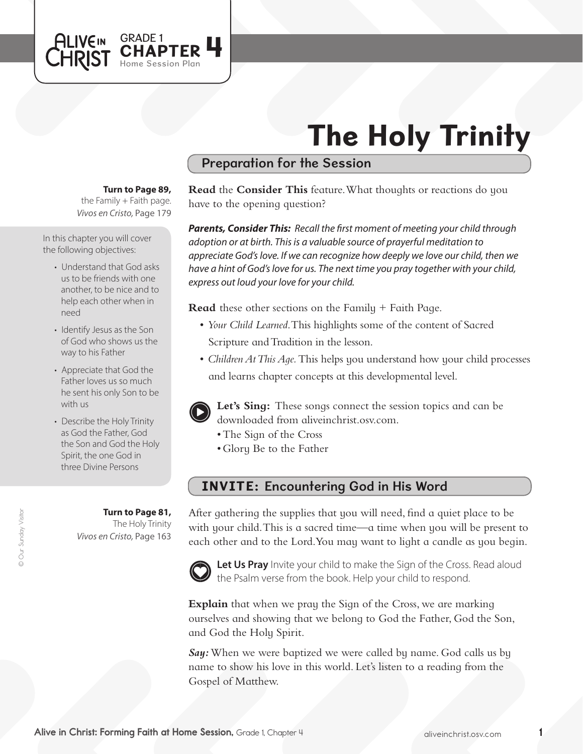# The Holy Trinity

## Preparation for the Session

#### **Turn to Page 89,**

GRADE 1<br>CHAPTER 4

Home Session Plan

*Vivos en Cristo,* Page 179 the Family  $+$  Faith page.

In this chapter you will cover the following objectives:

**ALIVEIN LHRIST** 

- Understand that God asks us to be friends with one another, to be nice and to help each other when in need
- Identify Jesus as the Son of God who shows us the way to his Father
- Appreciate that God the Father loves us so much he sent his only Son to be with us
- Describe the Holy Trinity as God the Father, God the Son and God the Holy Spirit, the one God in three Divine Persons

*Vivos en Cristo,* Page 163 **Turn to Page 81,** The Holy Trinity **Read** the **Consider This** feature. What thoughts or reactions do you have to the opening question?

*Parents, Consider This: Recall the first moment of meeting your child through adoption or at birth. This is a valuable source of prayerful meditation to appreciate God's love. If we can recognize how deeply we love our child, then we have a hint of God's love for us. The next time you pray together with your child, express out loud your love for your child.*

**Read** these other sections on the Family + Faith Page.

- • *Your Child Learned*. This highlights some of the content of Sacred Scripture and Tradition in the lesson.
- *Children At This Aqe*. This helps you understand how your child processes and learns chapter concepts at this developmental level.



**Let's Sing:** These songs connect the session topics and can be downloaded from aliveinchrist.osv.com.

- The Sign of the Cross
- Glory Be to the Father

# INVITE: Encountering God in His Word

After gathering the supplies that you will need, find a quiet place to be with your child. This is a sacred time—a time when you will be present to each other and to the Lord. You may want to light a candle as you begin.



Let Us Pray Invite your child to make the Sign of the Cross. Read aloud the Psalm verse from the book. Help your child to respond.

**Explain** that when we pray the Sign of the Cross, we are marking ourselves and showing that we belong to God the Father, God the Son, and God the Holy Spirit.

*Say:*When we were baptized we were called by name. God calls us by name to show his love in this world. Let's listen to a reading from the Gospel of Matthew.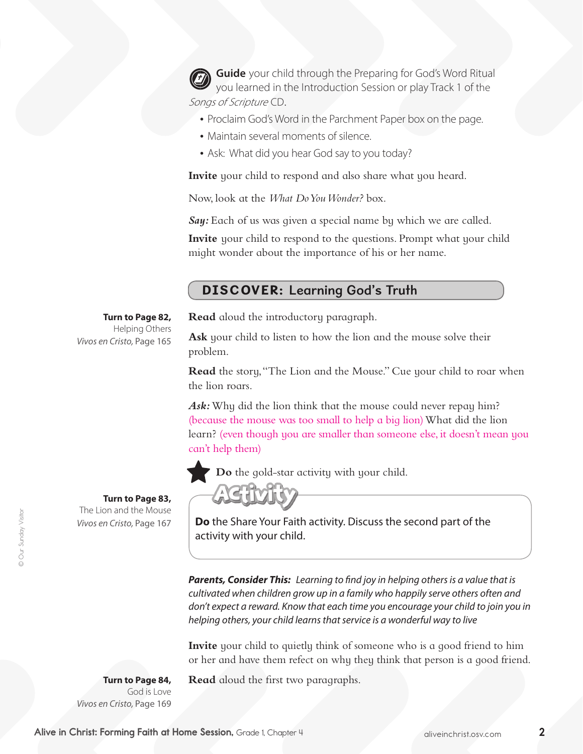**Guide** your child through the Preparing for God's Word Ritual you learned in the Introduction Session or play Track 1 of the Songs of Scripture CD.

- Proclaim God's Word in the Parchment Paper box on the page.
- Maintain several moments of silence.
- Ask: What did you hear God say to you today?

**Invite** your child to respond and also share what you heard.

Now, look at the *What Do You Wonder?* box.

*Say:* Each of us was given a special name by which we are called.

**Invite** your child to respond to the questions. Prompt what your child might wonder about the importance of his or her name.

## DISCOVER: Learning God's Truth

#### **Turn to Page 82,**

*Vivos en Cristo,* Page 165 Helping Others **Read** aloud the introductory paragraph.

**Ask** your child to listen to how the lion and the mouse solve their problem.

**Read** the story,"The Lion and the Mouse." Cue your child to roar when the lion roars.

Ask: Why did the lion think that the mouse could never repay him? (because the mouse was too small to help a big lion) What did the lion learn? (even though you are smaller than someone else, it doesn't mean you can't help them)



**Do** the gold-star activity with your child.

**Turn to Page 83,**  The Lion and the Mouse *Vivos en Cristo,* Page 167



**Do** the Share Your Faith activity. Discuss the second part of the activity with your child.

*Parents, Consider This: Learning to find joy in helping others is a value that is cultivated when children grow up in a family who happily serve others often and*  don't expect a reward. Know that each time you encourage your child to join you in *helping others, your child learns that service is a wonderful way to live* 

**Invite** your child to quietly think of someone who is a good friend to him or her and have them refect on why they think that person is a good friend.

**Turn to Page 84,** God is Love *Vivos en Cristo,* Page 169 **Read** aloud the first two paragraphs.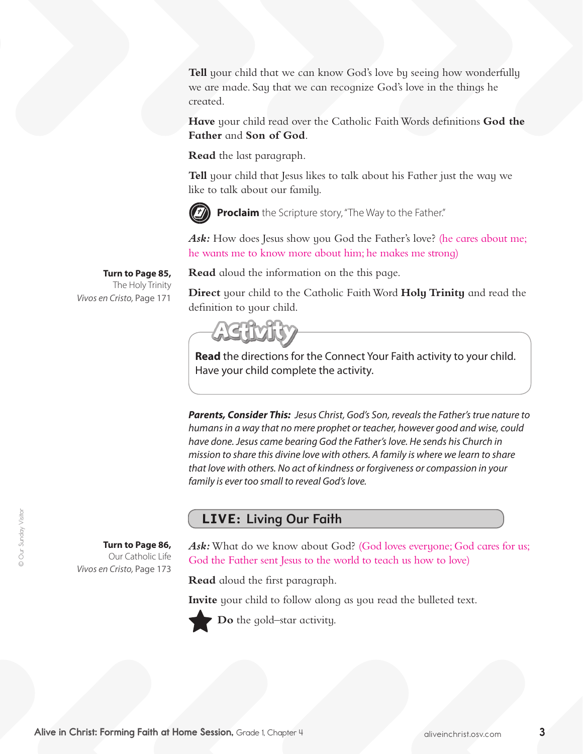**Tell** your child that we can know God's love by seeing how wonderfully we are made. Say that we can recognize God's love in the things he created.

**Have** your child read over the Catholic FaithWords definitions **God the Father** and **Son of God**.

**Read** the last paragraph.

**Tell** your child that Jesus likes to talk about his Father just the way we like to talk about our family.



**Proclaim** the Scripture story, "The Way to the Father."

Ask: How does Jesus show you God the Father's love? (he cares about me; he wants me to know more about him; he makes me strong)

**Turn to Page 85,** The Holy Trinity *Vivos en Cristo,* Page 171

> **Turn to Page 86,**  Our Catholic Life

*Vivos en Cristo,* Page 173

**Read** aloud the information on the this page.

**Direct** your child to the Catholic FaithWord **Holy Trinity** and read the definition to your child.



**Read** the directions for the Connect Your Faith activity to your child. Have your child complete the activity.

*Parents, Consider This: Jesus Christ, God's Son, reveals the Father's true nature to humans in a way that no mere prophet or teacher, however good and wise, could have done. Jesus came bearing God the Father's love. He sends his Church in mission to share this divine love with others. A family is where we learn to share that love with others. No act of kindness or forgiveness or compassion in your family is ever too small to reveal God's love.*

### LIVE: Living Our Faith

Ask: What do we know about God? (God loves everyone; God cares for us;

God the Father sent Jesus to the world to teach us how to love)

**Read** aloud the first paragraph.

**Invite** your child to follow along as you read the bulleted text.



**Do** the gold–star activity.